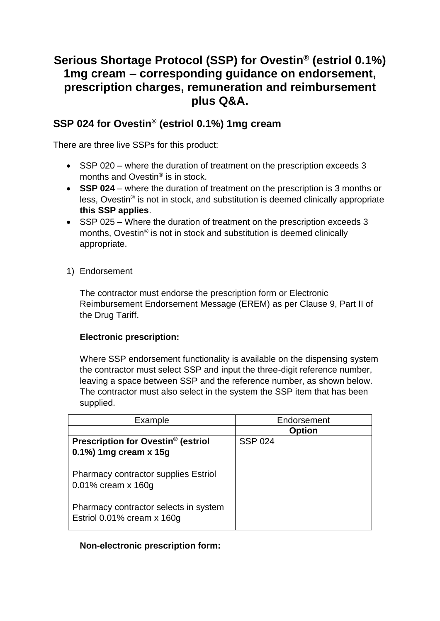# **Serious Shortage Protocol (SSP) for Ovestin® (estriol 0.1%) 1mg cream – corresponding guidance on endorsement, prescription charges, remuneration and reimbursement plus Q&A.**

# **SSP 024 for Ovestin® (estriol 0.1%) 1mg cream**

There are three live SSPs for this product:

- SSP 020 where the duration of treatment on the prescription exceeds 3 months and Ovestin® is in stock.
- **SSP 024** where the duration of treatment on the prescription is 3 months or less, Ovestin® is not in stock, and substitution is deemed clinically appropriate **this SSP applies**.
- SSP 025 Where the duration of treatment on the prescription exceeds 3 months, Ovestin® is not in stock and substitution is deemed clinically appropriate.
- 1) Endorsement

The contractor must endorse the prescription form or Electronic Reimbursement Endorsement Message (EREM) as per Clause 9, Part II of the Drug Tariff.

## **Electronic prescription:**

Where SSP endorsement functionality is available on the dispensing system the contractor must select SSP and input the three-digit reference number, leaving a space between SSP and the reference number, as shown below. The contractor must also select in the system the SSP item that has been supplied.

| Example                                                                                                                                  | Endorsement    |
|------------------------------------------------------------------------------------------------------------------------------------------|----------------|
|                                                                                                                                          | <b>Option</b>  |
| Prescription for Ovestin <sup>®</sup> (estriol                                                                                           | <b>SSP 024</b> |
| 0.1%) 1mg cream x 15g                                                                                                                    |                |
| <b>Pharmacy contractor supplies Estriol</b><br>0.01% cream x 160g<br>Pharmacy contractor selects in system<br>Estriol 0.01% cream x 160g |                |

## **Non-electronic prescription form:**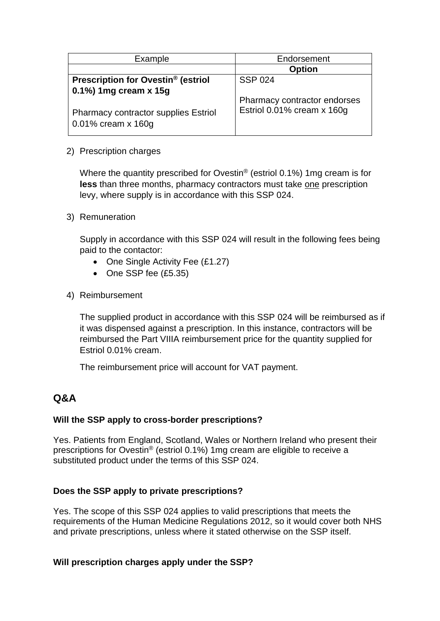| Example                                                                                        | Endorsement                                                |
|------------------------------------------------------------------------------------------------|------------------------------------------------------------|
|                                                                                                | <b>Option</b>                                              |
| Prescription for Ovestin <sup>®</sup> (estriol                                                 | <b>SSP 024</b>                                             |
| $0.1\%$ ) 1mg cream x 15g<br><b>Pharmacy contractor supplies Estriol</b><br>0.01% cream x 160g | Pharmacy contractor endorses<br>Estriol 0.01% cream x 160g |

#### 2) Prescription charges

Where the quantity prescribed for Ovestin<sup>®</sup> (estriol 0.1%) 1mg cream is for **less** than three months, pharmacy contractors must take one prescription levy, where supply is in accordance with this SSP 024.

#### 3) Remuneration

Supply in accordance with this SSP 024 will result in the following fees being paid to the contactor:

- One Single Activity Fee (£1.27)
- One SSP fee (£5.35)
- 4) Reimbursement

The supplied product in accordance with this SSP 024 will be reimbursed as if it was dispensed against a prescription. In this instance, contractors will be reimbursed the Part VIIIA reimbursement price for the quantity supplied for Estriol 0.01% cream.

The reimbursement price will account for VAT payment.

# **Q&A**

#### **Will the SSP apply to cross-border prescriptions?**

Yes. Patients from England, Scotland, Wales or Northern Ireland who present their prescriptions for Ovestin® (estriol 0.1%) 1mg cream are eligible to receive a substituted product under the terms of this SSP 024.

#### **Does the SSP apply to private prescriptions?**

Yes. The scope of this SSP 024 applies to valid prescriptions that meets the requirements of the Human Medicine Regulations 2012, so it would cover both NHS and private prescriptions, unless where it stated otherwise on the SSP itself.

#### **Will prescription charges apply under the SSP?**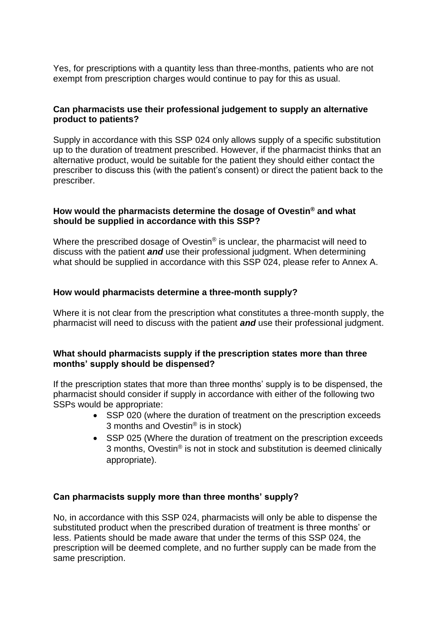Yes, for prescriptions with a quantity less than three-months, patients who are not exempt from prescription charges would continue to pay for this as usual.

### **Can pharmacists use their professional judgement to supply an alternative product to patients?**

Supply in accordance with this SSP 024 only allows supply of a specific substitution up to the duration of treatment prescribed. However, if the pharmacist thinks that an alternative product, would be suitable for the patient they should either contact the prescriber to discuss this (with the patient's consent) or direct the patient back to the prescriber.

#### **How would the pharmacists determine the dosage of Ovestin® and what should be supplied in accordance with this SSP?**

Where the prescribed dosage of Ovestin<sup>®</sup> is unclear, the pharmacist will need to discuss with the patient *and* use their professional judgment. When determining what should be supplied in accordance with this SSP 024, please refer to Annex A.

#### **How would pharmacists determine a three-month supply?**

Where it is not clear from the prescription what constitutes a three-month supply, the pharmacist will need to discuss with the patient *and* use their professional judgment.

#### **What should pharmacists supply if the prescription states more than three months' supply should be dispensed?**

If the prescription states that more than three months' supply is to be dispensed, the pharmacist should consider if supply in accordance with either of the following two SSPs would be appropriate:

- SSP 020 (where the duration of treatment on the prescription exceeds 3 months and Ovestin® is in stock)
- SSP 025 (Where the duration of treatment on the prescription exceeds 3 months, Ovestin® is not in stock and substitution is deemed clinically appropriate).

#### **Can pharmacists supply more than three months' supply?**

No, in accordance with this SSP 024, pharmacists will only be able to dispense the substituted product when the prescribed duration of treatment is three months' or less. Patients should be made aware that under the terms of this SSP 024, the prescription will be deemed complete, and no further supply can be made from the same prescription.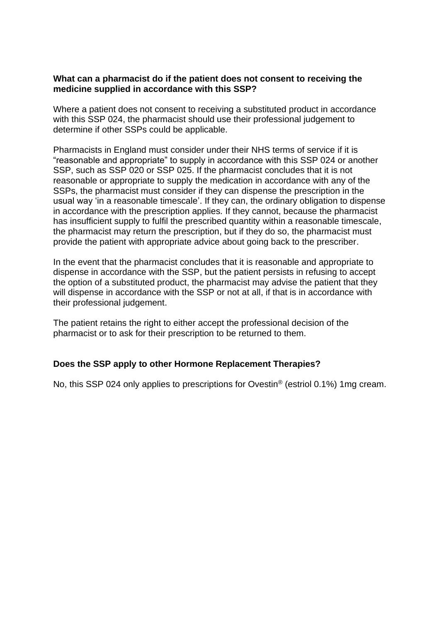#### **What can a pharmacist do if the patient does not consent to receiving the medicine supplied in accordance with this SSP?**

Where a patient does not consent to receiving a substituted product in accordance with this SSP 024, the pharmacist should use their professional judgement to determine if other SSPs could be applicable.

Pharmacists in England must consider under their NHS terms of service if it is "reasonable and appropriate" to supply in accordance with this SSP 024 or another SSP, such as SSP 020 or SSP 025. If the pharmacist concludes that it is not reasonable or appropriate to supply the medication in accordance with any of the SSPs, the pharmacist must consider if they can dispense the prescription in the usual way 'in a reasonable timescale'. If they can, the ordinary obligation to dispense in accordance with the prescription applies. If they cannot, because the pharmacist has insufficient supply to fulfil the prescribed quantity within a reasonable timescale, the pharmacist may return the prescription, but if they do so, the pharmacist must provide the patient with appropriate advice about going back to the prescriber.

In the event that the pharmacist concludes that it is reasonable and appropriate to dispense in accordance with the SSP, but the patient persists in refusing to accept the option of a substituted product, the pharmacist may advise the patient that they will dispense in accordance with the SSP or not at all, if that is in accordance with their professional judgement.

The patient retains the right to either accept the professional decision of the pharmacist or to ask for their prescription to be returned to them.

#### **Does the SSP apply to other Hormone Replacement Therapies?**

No, this SSP 024 only applies to prescriptions for Ovestin® (estriol 0.1%) 1mg cream.